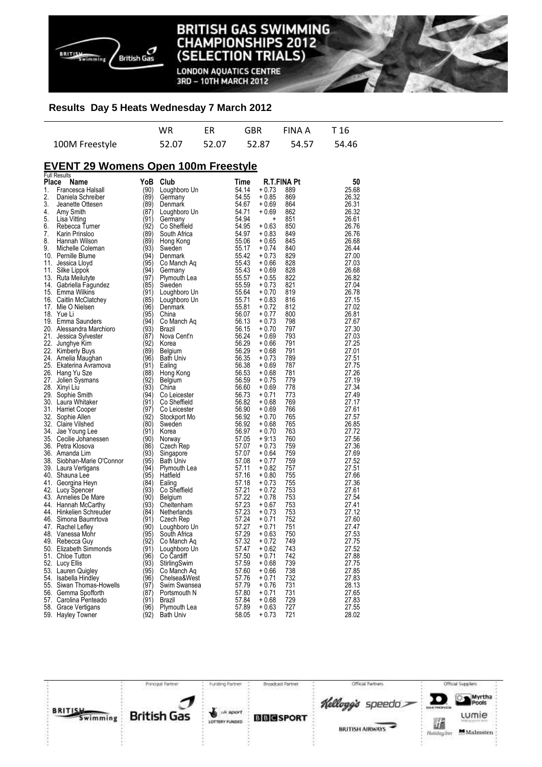

**LONDON AQUATICS CENTRE** 3RD - 10TH MARCH 2012

#### **Results Day 5 Heats Wednesday 7 March 2012**

|                | WR | FR | GBR FINAA T16                 |  |
|----------------|----|----|-------------------------------|--|
| 100M Freestyle |    |    | 52.07 52.07 52.87 54.57 54.46 |  |

## **EVENT 29 Womens Open 100m Freestyle**

|       | <b>Full Results</b>                         |              |                  |                |                                  |                |
|-------|---------------------------------------------|--------------|------------------|----------------|----------------------------------|----------------|
| Place | Name                                        | YoB          | Club             | Time           | <b>R.T.FINA Pt</b>               | 50             |
| 1.    | Francesca Halsall                           | (90)         | Loughboro Un     | 54.14          | $+0.73$<br>889                   | 25.68          |
| 2.    | Daniela Schreiber                           | (89)         | Germany          | 54.55          | $+0.85$<br>869                   | 26.32          |
| 3.    | Jeanette Ottesen                            | (89)         | Denmark          | 54.67          | $+0.69$<br>864                   | 26.31          |
| 4.    | Amy Smith                                   | (87)         | Loughboro Un     | 54.71          | $+0.69$<br>862                   | 26.32          |
| 5.    | Lisa Vitting                                | (91)         | Germany          | 54.94          | 851<br>÷                         | 26.61          |
| 6.    | Rebecca Turner                              | (92)         | Co Sheffield     | 54.95          | $+0.63$<br>850                   | 26.76          |
| 7.    | Karin Prinsloo                              | (89)         | South Africa     | 54.97          | $+0.83$<br>849                   | 26.76          |
| 8.    | Hannah Wilson                               | (89)         | Hong Kong        | 55.06          | $+0.65$<br>845                   | 26.68          |
| 9.    | Michelle Coleman                            | (93)         | Sweden           | 55.17          | $+0.74$<br>840                   | 26.44          |
|       | 10. Pernille Blume                          | (94)         | Denmark          | 55.42          | 829<br>$+0.73$                   | 27.00          |
| 11.   | Jessica Lloyd                               | (95)         | Co Manch Aq      | 55.43          | $+0.66$<br>828                   | 27.03          |
|       | 11. Silke Lippok                            | (94)         | Germany          | 55.43          | $+0.69$<br>828                   | 26.68          |
|       | 13. Ruta Meilutyte                          | (97)         | Plymouth Lea     | 55.57          | $+0.55$<br>822                   | 26.82          |
|       | 14. Gabriella Fagundez                      | (85)         | Sweden           | 55.59          | $+0.73$<br>821                   | 27.04          |
|       | 15. Emma Wilkins                            | (91)         | Loughboro Un     | 55.64          | $+0.70$<br>819                   | 26.78          |
|       | 16. Caitlin McClatchey                      | (85)         | Loughboro Un     | 55.71          | $+0.83$<br>816                   | 27.15          |
|       | 17. Mie O Nielsen                           | (96)         | Denmark          | 55.81          | $+0.72$<br>812                   | 27.02          |
|       | 18. Yue Li                                  | (95)         | China            | 56.07          | $+0.77$<br>800                   | 26.81          |
|       | 19. Emma Saunders                           | (94)         | Co Manch Aq      | 56.13          | 798<br>$+0.73$                   | 27.67          |
|       | 20. Alessandra Marchioro                    | (93)         | Brazil           | 56.15          | $+0.70$<br>797                   | 27.30          |
|       | 21. Jessica Sylvester                       | (87)         | Nova Cent'n      | 56.24          | $+0.69$<br>793                   | 27.03          |
|       | 22. Junghye Kim                             | (92)         | Korea            | 56.29          | 791<br>$+0.66$                   | 27.25          |
|       | 22. Kimberly Buys                           | (89)         | Belgium          | 56.29          | 791<br>$+0.68$                   | 27.01          |
|       | 24. Amelia Maughan                          | (96)         | <b>Bath Univ</b> | 56.35          | $+0.73$<br>789                   | 27.51          |
|       | 25. Ekaterina Avramova                      | (91)         | Ealing           | 56.38          | $+0.69$<br>787                   | 27.75          |
|       | 26. Hang Yu Sze                             | (88)         | Hong Kong        | 56.53          | $+0.68$<br>781                   | 27.26          |
|       | 27. Jolien Sysmans                          | (92)         | Belgium          | 56.59          | 779<br>$+0.75$                   | 27.19          |
|       | 28. Xinyi Liu                               | (93)         | China            | 56.60          | $+0.69$<br>778                   | 27.34          |
|       | 29. Sophie Smith                            | (94)         | Co Leicester     | 56.73          | $+0.71$<br>773                   | 27.49          |
|       | 30. Laura Whitaker                          | (91)         | Co Sheffield     | 56.82          | $+0.68$<br>769                   | 27.17          |
|       |                                             |              |                  |                | 766                              |                |
|       | 31. Harriet Cooper                          | (97)<br>(92) | Co Leicester     | 56.90<br>56.92 | $+0.69$<br>765                   | 27.61<br>27.57 |
|       | 32. Sophie Allen                            |              | Stockport Mo     |                | $+0.70$                          |                |
|       | 32. Claire Vilshed                          | (80)<br>(91) | Sweden           | 56.92<br>56.97 | + 0.68<br>765<br>763             | 26.85<br>27.72 |
|       | 34. Jae Young Lee                           |              | Korea            |                | $+0.70$                          |                |
|       | 35. Cecilie Johanessen<br>36. Petra Klosova | (90)<br>(86) | Norway           | 57.05<br>57.07 | $+9:13$<br>760<br>759<br>$+0.73$ | 27.56<br>27.36 |
|       |                                             | (93)         | Czech Rep        | 57.07          | 759                              | 27.69          |
|       | 36. Amanda Lim                              |              | Singapore        |                | + 0.64                           |                |
|       | 38. Siobhan-Marie O'Connor                  | (95)         | <b>Bath Univ</b> | 57.08          | $+0.77$<br>759                   | 27.52          |
|       | 39. Laura Vertigans                         | (94)         | Plymouth Lea     | 57.11          | $+0.82$<br>757                   | 27.51          |
|       | 40. Shauna Lee                              | (95)         | Hatfield         | 57.16          | $+0.80$<br>755                   | 27.66          |
|       | 41. Georgina Heyn                           | (84)         | Ealing           | 57.18          | $+0.73$<br>755                   | 27.36          |
|       | 42. Lucy Spencer                            | (93)         | Co Sheffield     | 57.21          | $+0.72$<br>753                   | 27.61          |
|       | 43. Annelies De Mare                        | (90)         | <b>Belgium</b>   | 57.22          | $+0.78$<br>753                   | 27.54          |
|       | 44. Hannah McCarthy                         | (93)         | Cheltenham       | 57.23          | $+0.67$<br>753                   | 27.41          |
|       | 44. Hinkelien Schreuder                     | (84)         | Netherlands      | 57.23          | 753<br>$+0.73$                   | 27.12          |
|       | 46. Simona Baumrtova                        | (91)         | Czech Rep        | 57.24          | 752<br>+ 0.71                    | 27.60          |
|       | 47. Rachel Lefley                           | (90)         | Loughboro Un     | 57.27          | $+0.71$<br>751                   | 27.47          |
|       | 48. Vanessa Mohr                            | (95)         | South Africa     | 57.29          | $+0.63$<br>750                   | 27.53          |
|       | 49. Rebecca Guy                             | (92)         | Co Manch Aq      | 57.32          | 749<br>$+0.72$                   | 27.75          |
|       | 50. Elizabeth Simmonds                      | (91)         | Loughboro Un     | 57.47          | $+0.62$<br>743                   | 27.52          |
|       | 51. Chloe Tutton                            | (96)         | Co Cardiff       | 57.50          | $+0.71$<br>742                   | 27.88          |
|       | 52. Lucy Ellis                              | (93)         | StirlingSwim     | 57.59          | 739<br>$+0.68$                   | 27.75          |
|       | 53. Lauren Quigley                          | (95)         | Co Manch Aq      | 57.60          | 738<br>$+0.66$                   | 27.85          |
|       | 54. Isabella Hindley                        | (96)         | Chelsea&West     | 57.76          | $+0.71$<br>732                   | 27.83          |
|       | 55. Siwan Thomas-Howells                    | (97)         | Swim Swansea     | 57.79          | $+0.76$<br>731                   | 28.13          |
|       | 56. Gemma Spofforth                         | (87)         | Portsmouth N     | 57.80          | $+0.71$<br>731                   | 27.65          |
|       | 57. Carolina Penteado                       | (91)         | Brazil           | 57.84          | 729<br>$+0.68$                   | 27.83          |
|       | 58. Grace Vertigans                         | (96)         | Plymouth Lea     | 57.89          | 727<br>$+0.63$                   | 27.55          |
|       | 59. Hayley Towner                           | (92)         | <b>Bath Univ</b> | 58.05          | 721<br>+ 0.73                    | 28.02          |

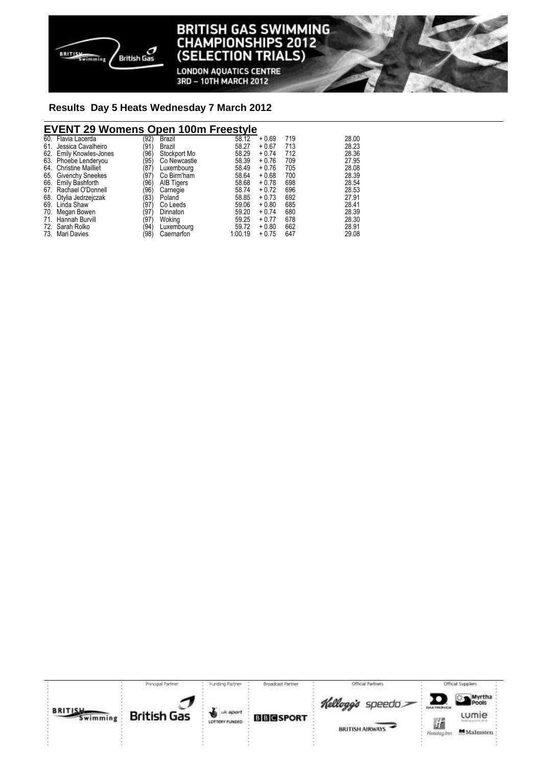

**LONDON AQUATICS CENTRE** 3RD - 10TH MARCH 2012

#### **Results Day 5 Heats Wednesday 7 March 2012**

## **EVENT 29 Womens Open 100m Freestyle**

|     | 60. Flavia Lacerda      | (92) | Brazil            | 58.12   | $+0.69$ | 719 | 28.00 |
|-----|-------------------------|------|-------------------|---------|---------|-----|-------|
| 61. | Jessica Cavalheiro      | (91) | Brazil            | 58.27   | $+0.67$ | 713 | 28.23 |
|     | 62. Emily Knowles-Jones | (96) | Stockport Mo      | 58.29   | $+0.74$ | 712 | 28.36 |
|     | 63. Phoebe Lenderyou    | (95) | Co Newcastle      | 58.39   | $+0.76$ | 709 | 27.95 |
|     | 64. Christine Mailliet  | (87) | Luxembourg        | 58.49   | $+0.76$ | 705 | 28.08 |
|     | 65. Givenchy Sneekes    | (97  | Co Birm'ham       | 58.64   | $+0.68$ | 700 | 28.39 |
|     | 66. Emily Bashforth     | (96) | <b>AIB Tigers</b> | 58.68   | $+0.78$ | 698 | 28.54 |
|     | 67. Rachael O'Donnell   | (96) | Carnegie          | 58.74   | $+0.72$ | 696 | 28.53 |
|     | 68. Otylia Jedrzejczak  | (83) | Poland            | 58.85   | $+0.73$ | 692 | 27.91 |
|     | 69. Linda Shaw          | (97) | Co Leeds          | 59.06   | $+0.80$ | 685 | 28.41 |
|     | 70. Megan Bowen         | (97) | Dinnaton          | 59.20   | $+0.74$ | 680 | 28.39 |
|     | 71. Hannah Burvill      | (97) | Woking            | 59.25   | $+0.77$ | 678 | 28.30 |
|     | 72. Sarah Rolko         | (94) | Luxembourg        | 59.72   | $+0.80$ | 662 | 28.91 |
|     | 73. Mari Davies         | (98) | Caernarfon        | 1:00.19 | $+0.75$ | 647 | 29.08 |
|     |                         |      |                   |         |         |     |       |

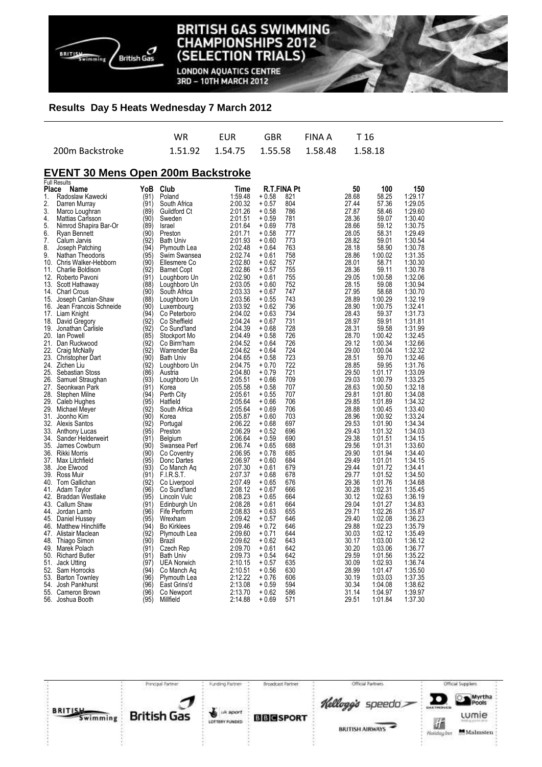

**LONDON AQUATICS CENTRE** 3RD - 10TH MARCH 2012

#### **Results Day 5 Heats Wednesday 7 March 2012**

|                 | WR . | <b>EUR</b> | GBR FINAIA T16                              |  |
|-----------------|------|------------|---------------------------------------------|--|
| 200m Backstroke |      |            | 1.51.92  1.54.75  1.55.58  1.58.48  1.58.18 |  |

### **EVENT 30 Mens Open 200m Backstroke**

|       | <b>Full Results</b>       |      |                    |         |             |     |       |         |         |
|-------|---------------------------|------|--------------------|---------|-------------|-----|-------|---------|---------|
| Place | Name                      | YoB  | Club               | Time    | R.T.FINA Pt |     | 50    | 100     | 150     |
| 1.    | Radoslaw Kawecki          | (91) | Poland             | 1:59.48 | $+0.58$     | 821 | 28.68 | 58.25   | 1:29.17 |
| 2.    | Darren Murray             | (91) | South Africa       | 2:00.32 | + 0.57      | 804 | 27.44 | 57.36   | 1:29.05 |
| 3.    | Marco Loughran            | (89) | Guildford Ct       | 2:01.26 | $+0.58$     | 786 | 27.87 | 58.46   | 1:29.60 |
| 4.    | Mattias Carlsson          | (90) | Sweden             | 2:01.51 | $+0.59$     | 781 | 28.36 | 59.07   | 1:30.40 |
| 5.    |                           |      |                    |         |             |     |       |         |         |
|       | Nimrod Shapira Bar-Or     | (89) | Israel             | 2:01.64 | + 0.69      | 778 | 28.66 | 59.12   | 1:30.75 |
| 6.    | Ryan Bennett              | (90) | Preston            | 2:01.71 | $+0.58$     | 777 | 28.05 | 58.31   | 1:29.49 |
| 7.    | Calum Jarvis              | (92) | <b>Bath Univ</b>   | 2:01.93 | + 0.60      | 773 | 28.82 | 59.01   | 1:30.54 |
| 8.    | Joseph Patching           | (94) | Plymouth Lea       | 2:02.48 | + 0.64      | 763 | 28.18 | 58.90   | 1:30.78 |
| 9.    | Nathan Theodoris          | (95) | Swim Swansea       | 2:02.74 | + 0.61      | 758 | 28.86 | 1:00.02 | 1:31.35 |
|       | 10. Chris Walker-Hebborn  | (90) | Ellesmere Co       | 2:02.80 | $+0.62$     | 757 | 28.01 | 58.71   | 1:30.30 |
| 11.   | Charlie Boldison          | (92) | <b>Barnet Copt</b> | 2:02.86 | $+0.57$     | 755 | 28.36 | 59.11   | 1:30.78 |
| 12.   | Roberto Pavoni            | (91) | Loughboro Un       | 2:02.90 | + 0.61      | 755 | 29.05 | 1:00.58 | 1:32.06 |
|       | 13. Scott Hathaway        | (88) | Loughboro Un       | 2:03.05 | + 0.60      | 752 | 28.15 | 59.08   | 1:30.94 |
|       |                           |      |                    |         |             | 747 |       |         |         |
|       | 14. Charl Crous           | (90) | South Africa       | 2:03.33 | $+0.67$     |     | 27.95 | 58.68   | 1:30.70 |
| 15.   | Joseph Canlan-Shaw        | (88) | Loughboro Un       | 2:03.56 | $+0.55$     | 743 | 28.89 | 1:00.29 | 1:32.19 |
| 16.   | Jean Francois Schneide    | (90) | Luxembourg         | 2:03.92 | + 0.62      | 736 | 28.90 | 1:00.75 | 1:32.41 |
|       | 17. Liam Knight           | (94) | Co Peterboro       | 2:04.02 | + 0.63      | 734 | 28.43 | 59.37   | 1:31.73 |
| 18.   | David Gregory             | (92' | Co Sheffield       | 2:04.24 | $+0.67$     | 731 | 28.97 | 59.91   | 1:31.81 |
| 19.   | Jonathan Carlisle         | (92) | Co Sund'land       | 2:04.39 | + 0.68      | 728 | 28.31 | 59.58   | 1:31.99 |
| 20.   | lan Powell                | (85) | Stockport Mo       | 2:04.49 | + 0.58      | 726 | 28.70 | 1:00.42 | 1:32.45 |
| 21.   | Dan Ruckwood              | (92) | Co Birm'ham        | 2:04.52 | $+0.64$     | 726 | 29.12 | 1:00.34 | 1:32.66 |
| 22.   | Craig McNally             | (92) | Warrender Ba       | 2:04.62 | $+0.64$     | 724 | 29.00 | 1:00.04 | 1:32.32 |
|       |                           | (90) | <b>Bath Univ</b>   | 2:04.65 | $+0.58$     | 723 | 28.51 | 59.70   | 1:32.46 |
|       | 23. Christopher Dart      |      |                    |         |             |     |       |         |         |
|       | 24. Zichen Liu            | (92) | Loughboro Un       | 2:04.75 | + 0.70      | 722 | 28.85 | 59.95   | 1:31.76 |
| 25.   | Sebastian Stoss           | (86) | Austria            | 2:04.80 | + 0.79      | 721 | 29.50 | 1:01.17 | 1:33.09 |
| 26.   | Samuel Straughan          | (93) | Loughboro Un       | 2:05.51 | $+0.66$     | 709 | 29.03 | 1:00.79 | 1:33.25 |
| 27.   | Seonkwan Park             | (91) | Korea              | 2:05.58 | + 0.58      | 707 | 28.63 | 1:00.50 | 1:32.18 |
| 28.   | Stephen Milne             | (94) | Perth City         | 2:05.61 | + 0.55      | 707 | 29.81 | 1:01.80 | 1:34.08 |
|       | 29. Caleb Hughes          | (95) | Hatfield           | 2:05.64 | + 0.66      | 706 | 29.85 | 1:01.89 | 1:34.32 |
| 29.   | Michael Meyer             | (92  | South Africa       | 2:05.64 | + 0.69      | 706 | 28.88 | 1:00.45 | 1:33.40 |
| 31.   | Joonho Kim                | (90) | Korea              | 2:05.87 | $+0.60$     | 703 | 28.96 | 1:00.92 | 1:33.24 |
| 32.   | <b>Alexis Santos</b>      | (92) | Portugal           | 2:06.22 | $+0.68$     | 697 | 29.53 | 1:01.90 | 1:34.34 |
|       | 33. Anthony Lucas         | (95) | Preston            | 2:06.29 | $+0.52$     | 696 | 29.43 | 1:01.32 | 1:34.03 |
| 34.   | Sander Helderweirt        | (91) |                    | 2:06.64 | + 0.59      | 690 | 29.38 | 1:01.51 | 1:34.15 |
|       |                           |      | Belgium            |         |             |     |       |         |         |
| 35.   | James Cowburn             | (90) | Swansea Perf       | 2:06.74 | + 0.65      | 688 | 29.56 | 1:01.31 | 1:33.60 |
|       | 36. Rikki Morris          | (90) | Co Coventry        | 2:06.95 | + 0.78      | 685 | 29.90 | 1:01.94 | 1:34.40 |
| 37.   | Max Litchfield            | (95) | Donc Dartes        | 2:06.97 | $+0.60$     | 684 | 29.49 | 1:01.01 | 1:34.15 |
| 38.   | Joe Elwood                | (93) | Co Manch Ag        | 2:07.30 | + 0.61      | 679 | 29.44 | 1:01.72 | 1:34.41 |
|       | 39. Ross Muir             | (91) | F.I.R.S.T.         | 2:07.37 | $+0.68$     | 678 | 29.77 | 1:01.52 | 1:34.50 |
|       | 40. Tom Gallichan         | (92) | Co Liverpool       | 2:07.49 | $+0.65$     | 676 | 29.36 | 1:01.76 | 1:34.68 |
| 41.   | Adam Taylor               | (96) | Co Sund'land       | 2:08.12 | + 0.67      | 666 | 30.28 | 1:02.31 | 1:35.45 |
| 42.   | <b>Braddan Westlake</b>   | (95) | Lincoln Vulc       | 2:08.23 | + 0.65      | 664 | 30.12 | 1:02.63 | 1:36.19 |
|       | 43. Callum Shaw           | (91) | Edinburgh Un       | 2:08.28 | + 0.61      | 664 | 29.04 | 1:01.27 | 1:34.83 |
| 44.   | Jordan Lamb               | (96) | Fife Perform       | 2:08.83 | $+0.63$     | 655 | 29.71 | 1:02.26 | 1:35.87 |
| 45.   | Daniel Hussey             | (95) | Wrexham            | 2:09.42 | $+0.57$     | 646 | 29.40 | 1:02.08 | 1:36.23 |
|       | <b>Matthew Hinchliffe</b> |      |                    | 2:09.46 | + 0.72      | 646 | 29.88 |         |         |
| 46.   |                           | (94) | <b>Bo Kirklees</b> |         |             |     |       | 1:02.23 | 1:35.79 |
| 47.   | Alistair Maclean          | (92) | Plymouth Lea       | 2:09.60 | $+0.71$     | 644 | 30.03 | 1:02.12 | 1:35.49 |
| 48.   | Thiago Simon              | (90) | Brazil             | 2:09.62 | $+0.62$     | 643 | 30.17 | 1:03.00 | 1:36.12 |
| 49.   | Marek Polach              | (91) | Czech Rep          | 2:09.70 | + 0.61      | 642 | 30.20 | 1:03.06 | 1:36.77 |
|       | 50. Richard Butler        | (91) | <b>Bath Univ</b>   | 2:09.73 | $+0.54$     | 642 | 29.59 | 1:01.56 | 1:35.22 |
| 51.   | Jack Utting               | (97) | <b>UEA Norwich</b> | 2:10.15 | + 0.57      | 635 | 30.09 | 1:02.93 | 1:36.74 |
| 52.   | Sam Horrocks              | (94) | Co Manch Ag        | 2:10.51 | + 0.56      | 630 | 28.99 | 1:01.47 | 1:35.50 |
| 53.   | <b>Barton Townley</b>     | (96) | Plymouth Lea       | 2:12.22 | + 0.76      | 606 | 30.19 | 1:03.03 | 1:37.35 |
| 54.   | Josh Pankhurst            | (96) | East Grins'd       | 2:13.08 | $+0.59$     | 594 | 30.34 | 1:04.08 | 1:38.62 |
|       | 55. Cameron Brown         | (96) | Co Newport         | 2:13.70 | $+0.62$     | 586 | 31.14 | 1:04.97 | 1:39.97 |
| 56.   | Joshua Booth              | (95) | Millfield          | 2:14.88 | + 0.69      | 571 | 29.51 | 1:01.84 | 1:37.30 |
|       |                           |      |                    |         |             |     |       |         |         |

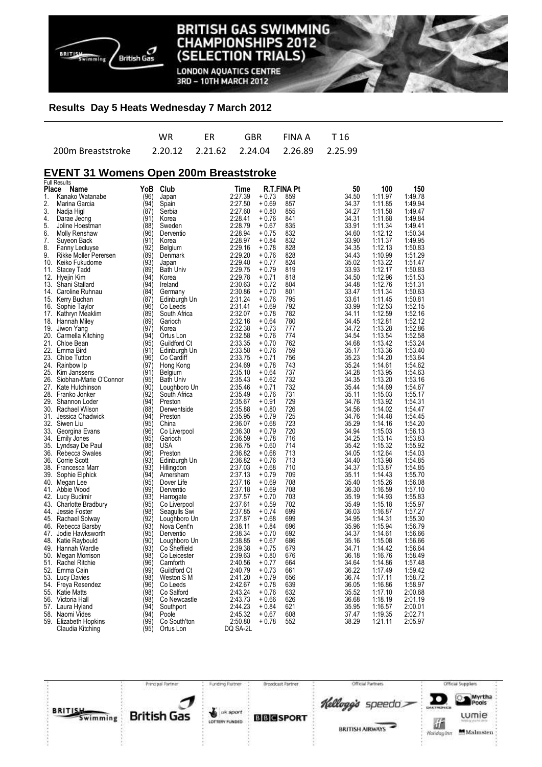

**LONDON AQUATICS CENTRE** 3RD - 10TH MARCH 2012

#### **Results Day 5 Heats Wednesday 7 March 2012**

| WR. | <b>ER</b> | GBR FINAA T16 |  |
|-----|-----------|---------------|--|
|     |           |               |  |

#### **EVENT 31 Womens Open 200m Breaststroke**

|       | <b>Full Results</b>    |      |                  |          |         |             |       |         |         |
|-------|------------------------|------|------------------|----------|---------|-------------|-------|---------|---------|
| Place | Name                   | YoB  | Club             | Time     |         | R.T.FINA Pt | 50    | 100     | 150     |
| 1.    | Kanako Watanabe        | (96) | Japan            | 2:27.39  | $+0.73$ | 859         | 34.50 | 1:11.97 | 1:49.78 |
| 2.    | Marina Garcia          | (94) | Spain            | 2:27.50  | $+0.69$ | 857         | 34.37 | 1:11.85 | 1:49.94 |
| 3.    | Nadja Higl             | (87) | Serbia           | 2:27.60  | $+0.80$ | 855         | 34.27 | 1:11.58 | 1.49.47 |
| 4.    | Darae Jeong            | (91) | Korea            | 2:28.41  | $+0.76$ | 841         | 34.31 | 1:11.68 | 1:49.84 |
| 5.    | Joline Hoestman        | (88) | Sweden           | 2:28.79  | $+0.67$ | 835         | 33.91 | 1:11.34 | 1:49.41 |
|       |                        | (96) |                  |          |         | 832         | 34.60 | 1:12.12 |         |
| 6.    | Molly Renshaw          |      | Derventio        | 2:28.94  | $+0.75$ |             |       |         | 1:50.34 |
| 7.    | Suyeon Back            | (91) | Korea            | 2:28.97  | + 0.84  | 832         | 33.90 | 1:11.37 | 1:49.95 |
| 8.    | Fanny Lecluyse         | (92) | Belgium          | 2:29.16  | $+0.78$ | 828         | 34.35 | 1:12.13 | 1:50.83 |
| 9.    | Rikke Moller Perersen  | (89) | Denmark          | 2:29.20  | $+0.76$ | 828         | 34.43 | 1:10.99 | 1:51.29 |
| 10.   | Keiko Fukudome         | (93) | Japan            | 2:29.40  | $+0.77$ | 824         | 35.02 | 1:13.22 | 1:51.47 |
| 11.   | Stacey Tadd            | (89) | <b>Bath Univ</b> | 2:29.75  | $+0.79$ | 819         | 33.93 | 1:12.17 | 1:50.83 |
| 12.   | Hyejin Kim             | (94) | Korea            | 2:29.78  | $+0.71$ | 818         | 34.50 | 1:12.96 | 1:51.53 |
| 13.   | Shani Stallard         | (94) | Ireland          | 2:30.63  | $+0.72$ | 804         | 34.48 | 1:12.76 | 1:51.31 |
| 14.   | Caroline Ruhnau        | (84) | Germany          | 2:30.86  | $+0.70$ | 801         | 33.47 | 1:11.34 | 1:50.63 |
|       |                        | (87) |                  | 2:31.24  | $+0.76$ | 795         | 33.61 | 1:11.45 | 1:50.81 |
| 15.   | Kerry Buchan           |      | Edinburgh Un     |          |         |             |       |         |         |
| 16.   | Sophie Taylor          | (96) | Co Leeds         | 2:31.41  | $+0.69$ | 792         | 33.99 | 1:12.53 | 1:52.15 |
| 17.   | Kathryn Meaklim        | (89) | South Africa     | 2:32.07  | $+0.78$ | 782         | 34.11 | 1:12.59 | 1:52.16 |
|       | 18. Hannah Miley       | (89) | Garioch          | 2:32.16  | $+0.64$ | 780         | 34.45 | 1:12.81 | 1:52.12 |
|       | 19. Jiwon Yang         | (97) | Korea            | 2:32.38  | $+0.73$ | 777         | 34.72 | 1:13.28 | 1:52.86 |
| 20.   | Carmella Kitching      | (94) | Ortus Lon        | 2:32.58  | $+0.76$ | 774         | 34.54 | 1:13.54 | 1:52.58 |
|       | 21. Chloe Bean         | (95) | Guildford Ct     | 2:33.35  | $+0.70$ | 762         | 34.68 | 1:13.42 | 1:53.24 |
|       | 22. Emma Bird          | (91) | Edinburgh Un     | 2:33.58  | $+0.76$ | 759         | 35.17 | 1:13.36 | 1:53.40 |
|       | 23. Chloe Tutton       | (96) | Co Cardiff       | 2:33.75  | $+0.71$ | 756         | 35.23 | 1:14.20 | 1:53.64 |
|       | 24. Rainbow Ip         | (97) | Hong Kong        | 2:34.69  | + 0.78  | 743         | 35.24 | 1:14.61 | 1.54.62 |
| 25.   |                        | (91) |                  | 2:35.10  |         | 737         | 34.28 | 1:13.95 |         |
|       | Kim Janssens           |      | Belgium          |          | + 0.64  |             |       |         | 1.54.63 |
| 26.   | Siobhan-Marie O'Connor | (95) | <b>Bath Univ</b> | 2:35.43  | $+0.62$ | 732         | 34.35 | 1:13.20 | 1:53.16 |
| 27.   | Kate Hutchinson        | (90) | Loughboro Un     | 2:35.46  | $+0.71$ | 732         | 35.44 | 1:14.69 | 1:54.67 |
|       | 28. Franko Jonker      | (92) | South Africa     | 2:35.49  | $+0.76$ | 731         | 35.11 | 1:15.03 | 1:55.17 |
| 29.   | Shannon Loder          | (94) | Preston          | 2:35.67  | + 0.91  | 729         | 34.76 | 1:13.92 | 1:54.31 |
| 30.   | Rachael Wilson         | (88) | Derwentside      | 2:35.88  | $+0.80$ | 726         | 34.56 | 1:14.02 | 1:54.47 |
| 31.   | Jessica Chadwick       | (94) | Preston          | 2:35.95  | $+0.79$ | 725         | 34.76 | 1:14.48 | 1:54.45 |
| 32.   | Siwen Liu              | (95' | China            | 2:36.07  | $+0.68$ | 723         | 35.29 | 1:14.16 | 1:54.20 |
| 33.   | Georgina Evans         | (96) | Co Liverpool     | 2:36.30  | $+0.79$ | 720         | 34.94 | 1:15.03 | 1:56.13 |
| 34.   | <b>Emily Jones</b>     | (95) | Garioch          | 2:36.59  | $+0.78$ | 716         | 34.25 | 1:13.14 | 1:53.83 |
| 35.   | Lyndsay De Paul        | (88) | USA              | 2:36.75  | $+0.60$ | 714         | 35.42 | 1:15.32 | 1:55.92 |
|       |                        |      |                  |          |         |             |       |         |         |
| 36.   | Rebecca Swales         | (96) | Preston          | 2:36.82  | $+0.68$ | 713         | 34.05 | 1:12.64 | 1:54.03 |
| 36.   | Corrie Scott           | (93) | Edinburgh Un     | 2:36.82  | $+0.76$ | 713         | 34.40 | 1:13.98 | 1:54.85 |
|       | 38. Francesca Marr     | (93) | Hillingdon       | 2:37.03  | $+0.68$ | 710         | 34.37 | 1:13.87 | 1:54.85 |
| 39.   | Sophie Elphick         | (94) | Amersham         | 2:37.13  | $+0.79$ | 709         | 35.11 | 1:14.43 | 1:55.70 |
| 40.   | Megan Lee              | (95) | Dover Life       | 2:37.16  | $+0.69$ | 708         | 35.40 | 1:15.26 | 1:56.08 |
| 41.   | Abbie Wood             | (99) | Derventio        | 2:37.18  | $+0.69$ | 708         | 36.30 | 1:16.59 | 1:57.10 |
|       | 42. Lucy Budimir       | (93) | Harrogate        | 2:37.57  | $+0.70$ | 703         | 35.19 | 1:14.93 | 1:55.83 |
|       | 43. Charlotte Bradbury | (95) | Co Liverpool     | 2:37.61  | $+0.59$ | 702         | 35.49 | 1:15.18 | 1:55.97 |
| 44.   | Jessie Foster          | (98) | Seagulls Swi     | 2:37.85  | $+0.74$ | 699         | 36.03 | 1:16.87 | 1:57.27 |
|       | 45. Rachael Solway     | (92) | Loughboro Un     | 2:37.87  | $+0.68$ | 699         | 34.95 | 1:14.31 | 1:55.30 |
| 46.   | Rebecca Barsby         | (93) | Nova Cent'n      | 2:38.11  | $+0.84$ | 696         | 35.96 | 1:15.94 | 1:56.79 |
|       |                        | (95) |                  |          |         |             |       |         |         |
| 47.   | Jodie Hawksworth       |      | Derventio        | 2:38.34  | $+0.70$ | 692         | 34.37 | 1:14.61 | 1:56.66 |
| 48.   | Katie Raybould         | (90) | Loughboro Un     | 2:38.85  | $+0.67$ | 686         | 35.16 | 1:15.08 | 1:56.66 |
|       | 49. Hannah Wardle      | (93) | Co Sheffield     | 2:39.38  | $+0.75$ | 679         | 34.71 | 1:14.42 | 1:56.64 |
| 50.   | Megan Morrison         | (98) | Co Leicester     | 2:39.63  | $+0.80$ | 676         | 36.18 | 1:16.76 | 1:58.49 |
|       | 51. Rachel Ritchie     | (96) | Carnforth        | 2:40.56  | $+0.77$ | 664         | 34.64 | 1:14.86 | 1:57.48 |
| 52.   | Emma Cain              | (99) | Guildford Ct     | 2:40.79  | $+0.73$ | 661         | 36.22 | 1:17.49 | 1:59.42 |
| 53.   | <b>Lucy Davies</b>     | (98) | Weston S M       | 2:41.20  | $+0.79$ | 656         | 36.74 | 1:17.11 | 1:58.72 |
| 54.   | Freya Resendez         | (96) | Co Leeds         | 2:42.67  | $+0.78$ | 639         | 36.05 | 1:16.86 | 1:58.97 |
| 55.   | <b>Katie Matts</b>     | (98) | Co Salford       | 2:43.24  | $+0.76$ | 632         | 35.52 | 1:17.10 | 2:00.68 |
| 56.   | Victoria Hall          | (98) | Co Newcastle     | 2:43.73  | + 0.66  | 626         | 36.68 | 1:18.19 | 2:01.19 |
|       |                        | (94) |                  | 2:44.23  | $+0.84$ | 621         | 35.95 | 1:16.57 | 2:00.01 |
|       | 57. Laura Hyland       | (94) | Southport        |          |         |             |       |         |         |
|       | 58. Naomi Vides        |      | Poole            | 2:45.32  | + 0.67  | 608         | 37.47 | 1:19.35 | 2:02.71 |
|       | 59. Elizabeth Hopkins  | (99) | Co South'ton     | 2:50.80  | $+0.78$ | 552         | 38.29 | 1:21.11 | 2:05.97 |
|       | Claudia Kitching       | (95) | Ortus Lon        | DQ SA-2L |         |             |       |         |         |

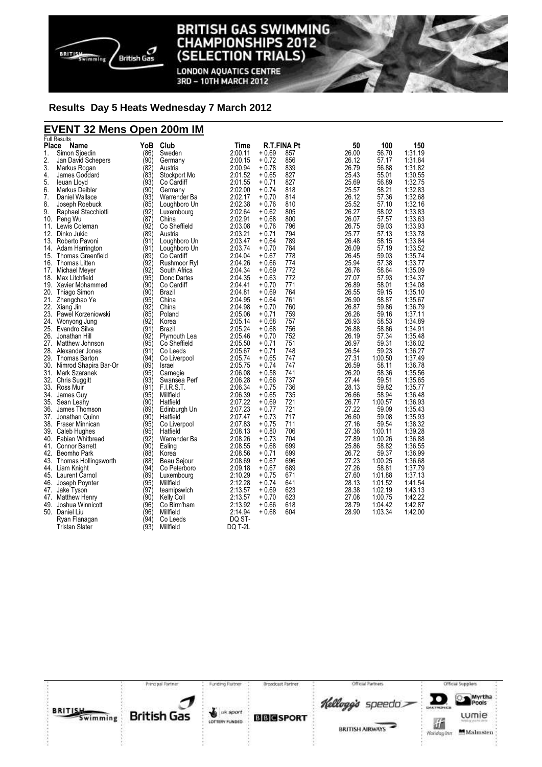

**LONDON AQUATICS CENTRE** 3RD - 10TH MARCH 2012

#### **Results Day 5 Heats Wednesday 7 March 2012**

## **EVENT 32 Mens Open 200m IM**

|       | <b>Full Results</b>                            |      |                        |                    |         |                    |                |                  |                    |
|-------|------------------------------------------------|------|------------------------|--------------------|---------|--------------------|----------------|------------------|--------------------|
| Place | Name                                           | YoB  | Club                   | Time               |         | <b>R.T.FINA Pt</b> | 50             | 100              | 150                |
| 1.    | Simon Sjoedin                                  | (86) | Sweden                 | 2:00.11            | $+0.69$ | 857                | 26.00          | 56.70            | 1:31.19            |
| 2.    | Jan David Schepers                             | (90) | Germany                | 2:00.15            | $+0.72$ | 856                | 26.12          | 57.17            | 1:31.84            |
| 3.    | Markus Rogan                                   | (82) | Austria                | 2:00.94            | $+0.78$ | 839                | 26.79          | 56.88            | 1:31.82            |
| 4.    | James Goddard                                  | (83) | Stockport Mo           | 2:01.52            | $+0.65$ | 827                | 25.43          | 55.01            | 1:30.55            |
| 5.    | leuan Lloyd                                    | (93) | Co Cardiff             | 2:01.55            | $+0.71$ | 827                | 25.69          | 56.89            | 1:32.75            |
| 6.    | Markus Deibler                                 | (90) | Germany                | 2:02.00            | $+0.74$ | 818                | 25.57          | 58.21            | 1:32.83            |
| 7.    | Daniel Wallace                                 | (93) | Warrender Ba           | 2:02.17            | $+0.70$ | 814                | 26.12          | 57.36            | 1:32.68            |
| 8.    | Joseph Roebuck                                 | (85) | Loughboro Un           | 2:02.38            | $+0.76$ | 810                | 25.52          | 57.10            | 1:32.16            |
| 9.    | Raphael Stacchiotti                            | (92) | Luxembourg             | 2:02.64            | $+0.62$ | 805                | 26.27          | 58.02            | 1:33.83            |
|       | 10. Peng Wu                                    | (87) | China                  | 2:02.91            | $+0.68$ | 800                | 26.07          | 57.57            | 1:33.63            |
|       | 11. Lewis Coleman                              | (92) | Co Sheffield           | 2:03.08            | $+0.76$ | 796                | 26.75          | 59.03            | 1:33.93            |
|       | 12. Dinko Jukic                                | (89) | Austria                | 2:03.21            | $+0.71$ | 794                | 25.77          | 57.13            | 1:33.78            |
|       | 13. Roberto Pavoni                             | (91) | Loughboro Un           | 2:03.47            | $+0.64$ | 789                | 26.48          | 58.15            | 1:33.84            |
|       | 14. Adam Harrington                            | (91) | Loughboro Un           | 2:03.74            | $+0.70$ | 784                | 26.09          | 57.19            | 1:33.52            |
|       | 15. Thomas Greenfield                          | (89) | Co Cardiff             | 2:04.04            | $+0.67$ | 778                | 26.45          | 59.03            | 1:35.74            |
|       | 16. Thomas Litten                              | (92) | Rushmoor Ryl           | 2:04.26            | $+0.66$ | 774                | 25.94          | 57.38            | 1:33.77            |
|       | 17. Michael Meyer                              | (92) | South Africa           | 2:04.34            | $+0.69$ | 772                | 26.76          | 58.64            | 1:35.09            |
|       | 18. Max Litchfield                             | (95) | Donc Dartes            | 2:04.35            | $+0.63$ | 772                | 27.07          | 57.93            | 1:34.37            |
|       | 19. Xavier Mohammed                            | (90) | Co Cardiff             | 2:04.41            | $+0.70$ | 771                | 26.89          | 58.01            | 1:34.08            |
|       | 20. Thiago Simon                               | (90) | Brazil                 | 2:04.81            | $+0.69$ | 764                | 26.55          | 59.15            | 1:35.10            |
| 21.   | Zhengchao Ye                                   | (95) | China                  | 2:04.95            | $+0.64$ | 761                | 26.90          | 58.87            | 1:35.67            |
|       | 22. Xiang Jin                                  | (92) | China                  | 2:04.98            | $+0.70$ | 760                | 26.87          | 59.86            | 1:36.79            |
|       | 23. Pawel Korzeniowski                         | (85) | Poland                 | 2:05.06            | $+0.71$ | 759                | 26.26          | 59.16            | 1:37.11            |
|       | 24. Wonyong Jung                               | (92) | Korea                  | 2:05.14            | $+0.68$ | 757                | 26.93          | 58.53            | 1:34.89            |
|       | 25. Evandro Silva                              | (91) | Brazil                 | 2:05.24            | $+0.68$ | 756                | 26.88          | 58.86            | 1:34.91            |
|       | 26. Jonathan Hill                              | (92) | Plymouth Lea           | 2:05.46            | $+0.70$ | 752                | 26.19          | 57.34            | 1:35.48            |
|       | 27. Matthew Johnson                            | (95) | Co Sheffield           | 2:05.50            | $+0.71$ | 751                | 26.97          | 59.31            | 1:36.02            |
|       | 28. Alexander Jones                            | (91) | Co Leeds               | 2:05.67            | $+0.71$ | 748                | 26.54          | 59.23            | 1:36.27            |
|       | 29. Thomas Barton                              | (94) |                        | 2:05.74            | $+0.65$ | 747                | 27.31          | 1:00.50          | 1:37.49            |
|       |                                                | (89) | Co Liverpool<br>Israel | 2:05.75            | $+0.74$ | 747                | 26.59          | 58.11            | 1:36.78            |
|       | 30. Nimrod Shapira Bar-Or<br>31. Mark Szaranek | (95) |                        | 2:06.08            | $+0.58$ | 741                | 26.20          | 58.36            | 1:35.56            |
|       |                                                | (93) | Carnegie               |                    | $+0.66$ | 737                | 27.44          |                  | 1:35.65            |
|       | 32. Chris Suggitt<br>33. Ross Muir             | (91) | Swansea Perf<br>FIRST. | 2:06.28<br>2:06.34 |         | 736                | 28.13          | 59.51<br>59.82   | 1:35.77            |
|       |                                                | (95) | Millfield              | 2:06.39            | $+0.75$ | 735                | 26.66          | 58.94            | 1:36.48            |
|       | 34. James Guv                                  | (90) |                        |                    | $+0.65$ |                    |                |                  |                    |
|       | 35. Sean Leahy                                 |      | Hatfield               | 2:07.22            | $+0.69$ | 721<br>721         | 26.77<br>27.22 | 1:00.57<br>59.09 | 1:36.93<br>1:35.43 |
|       | 36. James Thomson                              | (89) | Edinburgh Un           | 2:07.23            | $+0.77$ | 717                |                |                  |                    |
|       | 37. Jonathan Quinn                             | (90) | Hatfield               | 2:07.47            | $+0.73$ |                    | 26.60          | 59.08            | 1:35.93            |
|       | 38. Fraser Minnican                            | (95) | Co Liverpool           | 2:07.83            | $+0.75$ | 711                | 27.16          | 59.54            | 1:38.32            |
|       | 39. Caleb Hughes                               | (95) | Hatfield               | 2:08.13            | $+0.80$ | 706                | 27.36          | 1:00.11          | 1:39.28            |
|       | 40. Fabian Whitbread                           | (92) | Warrender Ba           | 2:08.26            | $+0.73$ | 704                | 27.89          | 1:00.26          | 1:36.88            |
|       | 41. Connor Barrett                             | (90) | Ealing                 | 2:08.55            | $+0.68$ | 699                | 25.86          | 58.82            | 1:36.55            |
|       | 42. Beomho Park                                | (88) | Korea                  | 2:08.56            | $+0.71$ | 699                | 26.72          | 59.37            | 1:36.99            |
|       | 43. Thomas Hollingsworth                       | (88) | Beau Sejour            | 2:08.69            | $+0.67$ | 696                | 27.23          | 1:00.25          | 1:36.68            |
|       | 44. Liam Knight                                | (94) | Co Peterboro           | 2:09.18            | $+0.67$ | 689                | 27.26          | 58.81            | 1:37.79            |
|       | 45. Laurent Carnol                             | (89) | Luxembourg             | 2:10.29            | $+0.75$ | 671                | 27.60          | 1:01.88          | 1:37.13            |
|       | 46. Joseph Poynter                             | (95) | Millfield              | 2:12.28            | $+0.74$ | 641                | 28.13          | 1:01.52          | 1:41.54            |
| 47.   | Jake Tyson                                     | (97) | teamipswich            | 2:13.57            | $+0.69$ | 623                | 28.38          | 1:02.19          | 1:43.13            |
|       | 47. Matthew Henry                              | (90) | <b>Kelly Coll</b>      | 2:13.57            | $+0.70$ | 623                | 27.08          | 1:00.75          | 1:42.22            |
|       | 49. Joshua Winnicott                           | (96) | Co Birm'ham            | 2:13.92            | $+0.66$ | 618                | 28.79          | 1:04.42          | 1:42.87            |
|       | 50. Daniel Liu                                 | (96) | Millfield              | 2:14.94            | $+0.68$ | 604                | 28.90          | 1:03.34          | 1:42.00            |
|       | Ryan Flanagan                                  | (94) | Co Leeds               | DQ ST-             |         |                    |                |                  |                    |
|       | <b>Tristan Slater</b>                          | (93) | Millfield              | DQ T-2L            |         |                    |                |                  |                    |

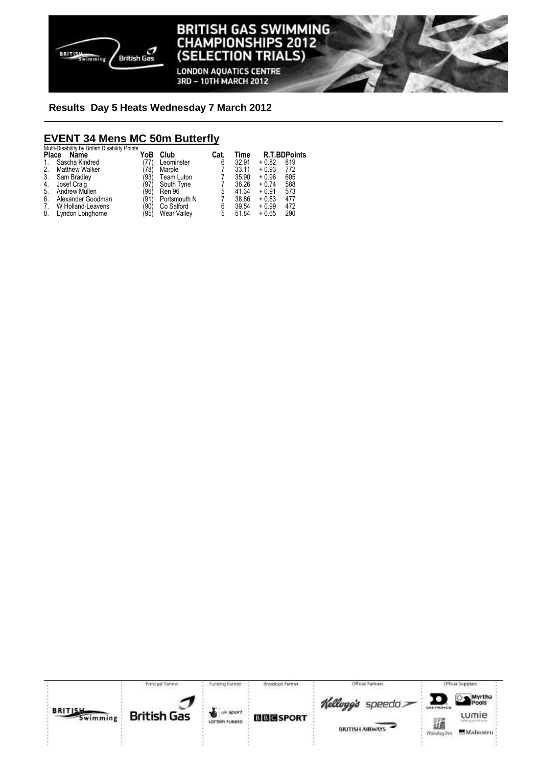

**LONDON AQUATICS CENTRE** 3RD - 10TH MARCH 2012

#### **Results Day 5 Heats Wednesday 7 March 2012**

# **EVENT 34 Mens MC 50m Butterfly**  Multi-Disability by British Disability Points

|              | m                     |      |              |      |       |         |                     |
|--------------|-----------------------|------|--------------|------|-------|---------|---------------------|
| <b>Place</b> | Name                  | YoB  | Club         | Cat. | Time  |         | <b>R.T.BDPoints</b> |
| 1.           | Sascha Kindred        | (77) | Leominster   | 6    | 32.91 | $+0.82$ | 819                 |
| 2.           | <b>Matthew Walker</b> | 78)  | Marple       |      | 33.11 | $+0.93$ | 772                 |
| 3.           | Sam Bradley           | (93) | Team Luton   |      | 35.90 | $+0.96$ | 605                 |
| 4.           | Josef Craig           | (97) | South Tyne   |      | 36.26 | $+0.74$ | 588                 |
| 5.           | Andrew Mullen         | '96) | Ren 96       | 5    | 41.34 | $+0.91$ | 573                 |
| 6.           | Alexander Goodman     | (91) | Portsmouth N |      | 38.86 | $+0.83$ | 477                 |
| 7.           | W Holland-Leavens     | '90) | Co Salford   | 6    | 39.54 | $+0.99$ | 472                 |
| 8.           | Lyndon Longhorne      | '95) | Wear Valley  | 5    | 51.84 | $+0.65$ | 290                 |
|              |                       |      |              |      |       |         |                     |

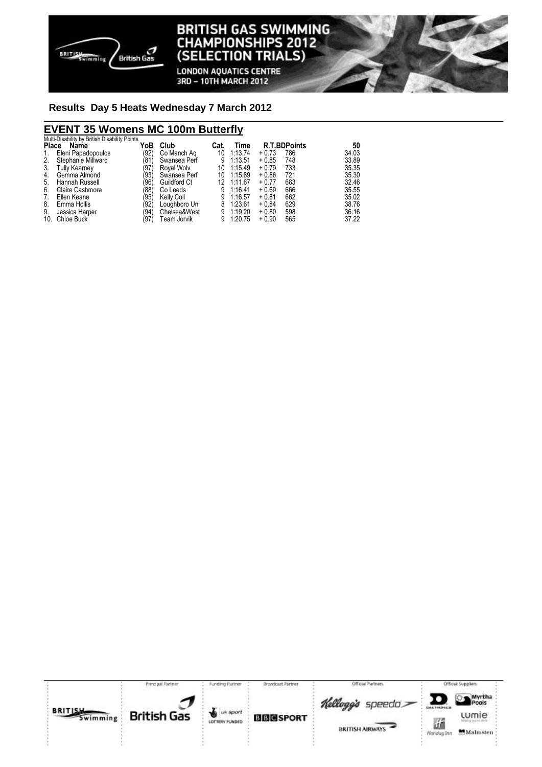

**LONDON AQUATICS CENTRE** 3RD - 10TH MARCH 2012

#### **Results Day 5 Heats Wednesday 7 March 2012**

## **EVENT 35 Womens MC 100m Butterfly**

|    | Multi-Disability by British Disability Points |      |                   |      |         |                     |     |       |
|----|-----------------------------------------------|------|-------------------|------|---------|---------------------|-----|-------|
|    | Place Name                                    | YoB  | Club              | Cat. | Time    | <b>R.T.BDPoints</b> |     | 50    |
| 1. | Eleni Papadopoulos                            | (92) | Co Manch Ag       | 10   | 1:13.74 | $+0.73$             | 786 | 34.03 |
| 2. | Stephanie Millward                            | '81' | Swansea Perf      | 9    | 1:13.51 | $+0.85$             | 748 | 33.89 |
| 3. | <b>Tully Kearney</b>                          | (97) | Royal Wolv        | 10   | 1:15.49 | $+0.79$             | 733 | 35.35 |
| 4. | Gemma Almond                                  | (93) | Swansea Perf      | 10   | 1:15.89 | $+0.86$             | 721 | 35.30 |
| 5. | Hannah Russell                                | '96) | Guildford Ct      | 12   | 1:11.67 | $+0.77$             | 683 | 32.46 |
| 6. | <b>Claire Cashmore</b>                        | '88) | Co Leeds          | 9    | 1:16.41 | $+0.69$             | 666 | 35.55 |
| 7. | Ellen Keane                                   | '95) | <b>Kelly Coll</b> | 9    | 1:16.57 | $+0.81$             | 662 | 35.02 |
| 8. | Emma Hollis                                   | '92) | Loughboro Un      | 8    | 1:23.61 | $+0.84$             | 629 | 38.76 |
| 9. | Jessica Harper                                | '94) | Chelsea&West      | 9    | 1:19.20 | $+0.80$             | 598 | 36.16 |
|    | 10. Chloe Buck                                | (97) | Team Jorvik       | 9    | 1:20.75 | $+0.90$             | 565 | 37.22 |